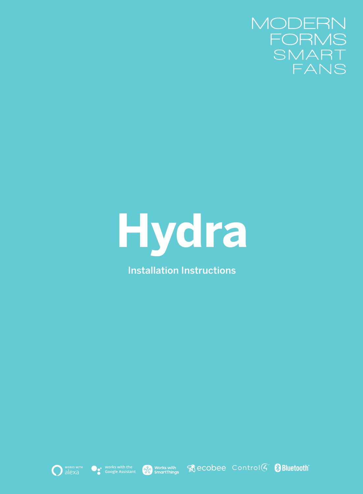



Installation Instructions











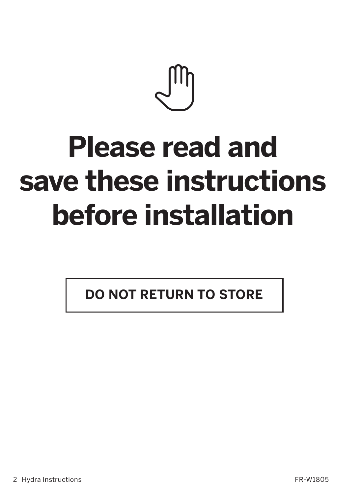# **Please read and save these instructions before installation**

**DO NOT RETURN TO STORE**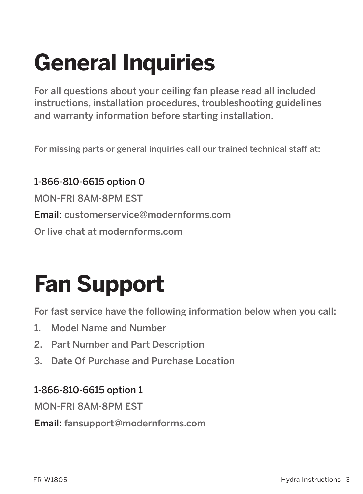## **General Inquiries**

For all questions about your ceiling fan please read all included instructions, installation procedures, troubleshooting guidelines and warranty information before starting installation.

For missing parts or general inquiries call our trained technical staff at:

1-866-810-6615 option 0 MON-FRI 8AM-8PM EST Email: customerservice@modernforms.com Or live chat at modernforms.com

## **Fan Support**

For fast service have the following information below when you call:

- 1. Model Name and Number
- 2. Part Number and Part Description
- 3. Date Of Purchase and Purchase Location

#### 1-866-810-6615 option 1

MON-FRI 8AM-8PM EST

Email: fansupport@modernforms.com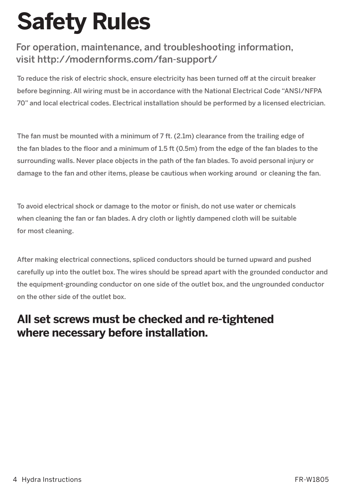## **Safety Rules**

#### For operation, maintenance, and troubleshooting information, visit http://modernforms.com/fan-support/

To reduce the risk of electric shock, ensure electricity has been turned off at the circuit breaker before beginning. All wiring must be in accordance with the National Electrical Code "ANSI/NFPA 70" and local electrical codes. Electrical installation should be performed by a licensed electrician.

The fan must be mounted with a minimum of 7 ft. (2.1m) clearance from the trailing edge of the fan blades to the floor and a minimum of 1.5 ft (0.5m) from the edge of the fan blades to the surrounding walls. Never place objects in the path of the fan blades. To avoid personal injury or damage to the fan and other items, please be cautious when working around or cleaning the fan.

To avoid electrical shock or damage to the motor or finish, do not use water or chemicals when cleaning the fan or fan blades. A dry cloth or lightly dampened cloth will be suitable for most cleaning.

After making electrical connections, spliced conductors should be turned upward and pushed carefully up into the outlet box. The wires should be spread apart with the grounded conductor and the equipment-grounding conductor on one side of the outlet box, and the ungrounded conductor on the other side of the outlet box.

### **All set screws must be checked and re-tightened where necessary before installation.**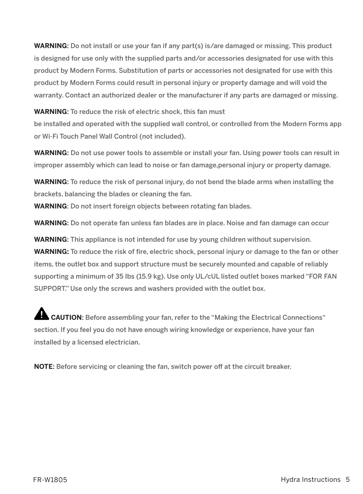**WARNING**: Do not install or use your fan if any part(s) is/are damaged or missing. This product is designed for use only with the supplied parts and/or accessories designated for use with this product by Modern Forms. Substitution of parts or accessories not designated for use with this product by Modern Forms could result in personal injury or property damage and will void the warranty. Contact an authorized dealer or the manufacturer if any parts are damaged or missing.

**WARNING**: To reduce the risk of electric shock, this fan must be installed and operated with the supplied wall control, or controlled from the Modern Forms app or Wi-Fi Touch Panel Wall Control (not included).

**WARNING:** Do not use power tools to assemble or install your fan. Using power tools can result in improper assembly which can lead to noise or fan damage,personal injury or property damage.

**WARNING**: To reduce the risk of personal injury, do not bend the blade arms when installing the brackets, balancing the blades or cleaning the fan.

**WARNING**: Do not insert foreign objects between rotating fan blades.

**WARNING**: Do not operate fan unless fan blades are in place. Noise and fan damage can occur

**WARNING**: This appliance is not intended for use by young children without supervision. **WARNING:** To reduce the risk of fire, electric shock, personal injury or damage to the fan or other items, the outlet box and support structure must be securely mounted and capable of reliably supporting a minimum of 35 Ibs (15.9 kg). Use only UL/cUL listed outlet boxes marked "FOR FAN SUPPORT." Use only the screws and washers provided with the outlet box.

 **CAUTION**: Before assembling your fan, refer to the "Making the Electrical Connections" section. If you feel you do not have enough wiring knowledge or experience, have your fan installed by a licensed electrician.

**NOTE**: Before servicing or cleaning the fan, switch power off at the circuit breaker.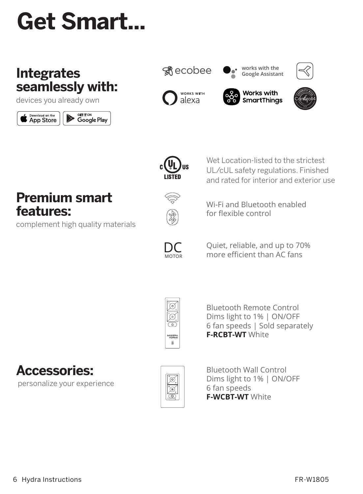## **Get Smart...**

## **Integrates seamlessly with:**

devices you already own

















Wet Location-listed to the strictest UL/cUL safety regulations. Finished and rated for interior and exterior use

**Premium smart features:**

complement high quality materials



Wi-Fi and Bluetooth enabled for flexible control



Quiet, reliable, and up to 70% more efficient than AC fans



Bluetooth Remote Control Dims light to 1% | ON/OFF 6 fan speeds | Sold separately **F-RCBT-WT** White

**Accessories:** personalize your experience



Bluetooth Wall Control Dims light to 1% | ON/OFF 6 fan speeds **F-WCBT-WT** White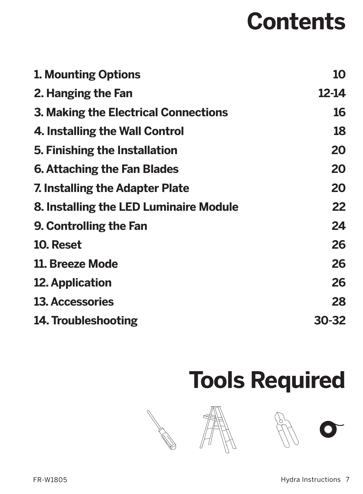## **Contents**

| 10<br>12-14<br>16 |
|-------------------|
|                   |
|                   |
|                   |
| 18                |
| 20                |
| 20                |
| 20                |
| 22                |
| 24                |
| 26                |
| 26                |
| 26                |
| 28                |
| 30-32             |
|                   |

## **Tools Required**

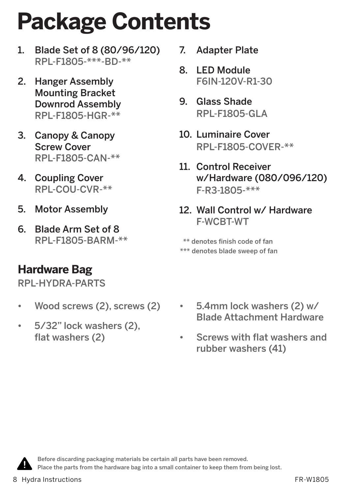## **Package Contents**

- 1. Blade Set of 8 (80/96/120) RPL-F1805-\*\*\*-BD-\*\*
- 2. Hanger Assembly Mounting Bracket Downrod Assembly RPL-F1805-HGR-\*\*
- 3. Canopy & Canopy Screw Cover RPL-F1805-CAN-\*\*
- 4. Coupling Cover RPL-COU-CVR-\*\*
- 5. Motor Assembly
- 6. Blade Arm Set of 8 RPL-F1805-BARM-\*\*

## **Hardware Bag**

RPL-HYDRA-PARTS

- Wood screws (2), screws (2)
- 5/32" lock washers (2), flat washers (2)
- 7. Adapter Plate
- 8. LED Module F6IN-120V-R1-30
- 9. Glass Shade RPL-F1805-GLA
- 10. Luminaire Cover RPL-F1805-COVER-\*\*
- 11. Control Receiver w/Hardware (080/096/120) F-R3-1805-\*\*\*
- 12. Wall Control w/ Hardware F-WCBT-WT

\*\*\* denotes blade sweep of fan \*\* denotes finish code of fan

- 5.4mm lock washers (2) w/ Blade Attachment Hardware
- Screws with flat washers and rubber washers (41)



Before discarding packaging materials be certain all parts have been removed. Place the parts from the hardware bag into a small container to keep them from being lost.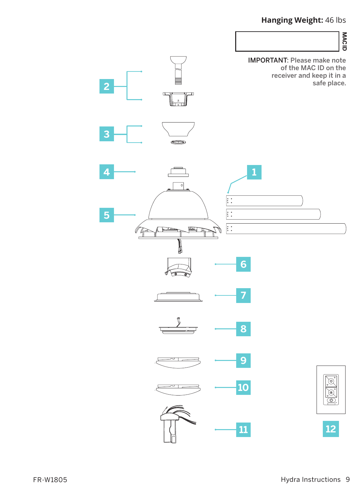#### **Hanging Weight:** 46 lbs

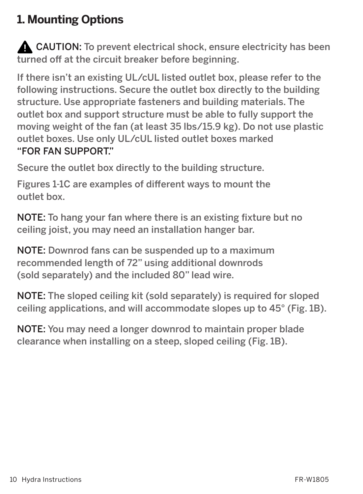## **1. Mounting Options**

**A** CAUTION: To prevent electrical shock, ensure electricity has been turned off at the circuit breaker before beginning.

If there isn't an existing UL/cUL listed outlet box, please refer to the following instructions. Secure the outlet box directly to the building structure. Use appropriate fasteners and building materials. The outlet box and support structure must be able to fully support the moving weight of the fan (at least 35 lbs/15.9 kg). Do not use plastic outlet boxes. Use only UL/cUL listed outlet boxes marked "FOR FAN SUPPORT."

Secure the outlet box directly to the building structure.

Figures 1-1C are examples of different ways to mount the outlet box.

NOTE: To hang your fan where there is an existing fixture but no ceiling joist, you may need an installation hanger bar.

NOTE: Downrod fans can be suspended up to a maximum recommended length of 72" using additional downrods (sold separately) and the included 80" lead wire.

NOTE: The sloped ceiling kit (sold separately) is required for sloped ceiling applications, and will accommodate slopes up to 45° (Fig. 1B).

NOTE: You may need a longer downrod to maintain proper blade clearance when installing on a steep, sloped ceiling (Fig. 1B).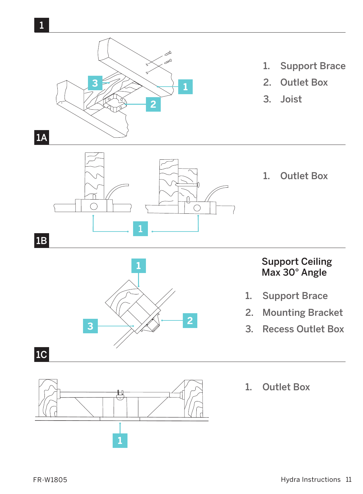



#### Support Ceiling Max 30° Angle

- 1. Support Brace
- 2. Mounting Bracket
- 3. Recess Outlet Box





1. Outlet Box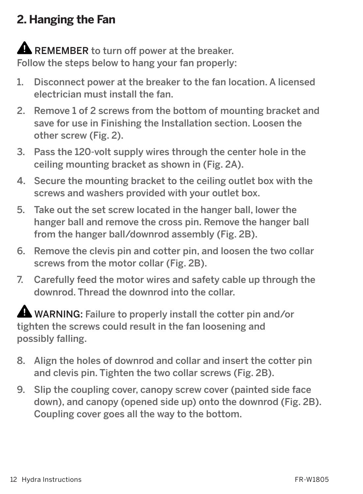## **2. Hanging the Fan**

## **A** REMEMBER to turn off power at the breaker.

Follow the steps below to hang your fan properly:

- 1. Disconnect power at the breaker to the fan location. A licensed electrician must install the fan.
- 2. Remove 1 of 2 screws from the bottom of mounting bracket and save for use in Finishing the Installation section. Loosen the other screw (Fig. 2).
- 3. Pass the 120-volt supply wires through the center hole in the ceiling mounting bracket as shown in (Fig. 2A).
- 4. Secure the mounting bracket to the ceiling outlet box with the screws and washers provided with your outlet box.
- 5. Take out the set screw located in the hanger ball, lower the hanger ball and remove the cross pin. Remove the hanger ball from the hanger ball/downrod assembly (Fig. 2B).
- 6. Remove the clevis pin and cotter pin, and loosen the two collar screws from the motor collar (Fig. 2B).
- 7. Carefully feed the motor wires and safety cable up through the downrod. Thread the downrod into the collar.

 WARNING: Failure to properly install the cotter pin and/or tighten the screws could result in the fan loosening and possibly falling.

- 8. Align the holes of downrod and collar and insert the cotter pin and clevis pin. Tighten the two collar screws (Fig. 2B).
- 9. Slip the coupling cover, canopy screw cover (painted side face down), and canopy (opened side up) onto the downrod (Fig. 2B). Coupling cover goes all the way to the bottom.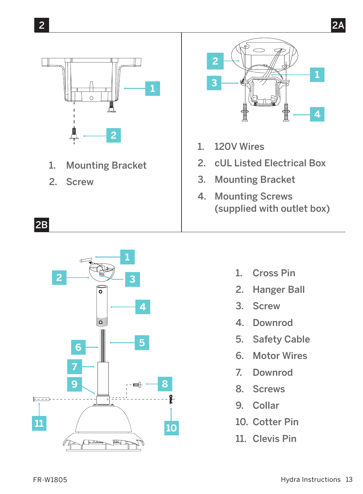

- 1. Mounting Bracket
- 2. Screw

2B



- 1. 120V Wires
- 2. cUL Listed Electrical Box
- 3. Mounting Bracket
- 4. Mounting Screws (supplied with outlet box)



- 1. Cross Pin
- 2. Hanger Ball
- 3. Screw
- 4. Downrod
- 5. Safety Cable
- 6. Motor Wires
- 7. Downrod
- 8. Screws
- 9. Collar
- 10. Cotter Pin
- 11. Clevis Pin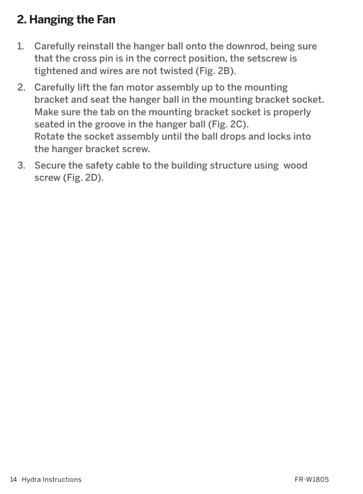## **2. Hanging the Fan**

- 1. Carefully reinstall the hanger ball onto the downrod, being sure that the cross pin is in the correct position, the setscrew is tightened and wires are not twisted (Fig. 2B).
- 2. Carefully lift the fan motor assembly up to the mounting bracket and seat the hanger ball in the mounting bracket socket. Make sure the tab on the mounting bracket socket is properly seated in the groove in the hanger ball (Fig. 2C). Rotate the socket assembly until the ball drops and locks into the hanger bracket screw.
- 3. Secure the safety cable to the building structure using wood screw (Fig. 2D).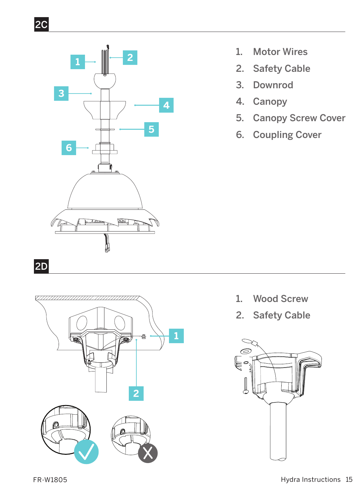

2C

- 1. Motor Wires
- 2. Safety Cable
- 3. Downrod
- 4. Canopy
- 5. Canopy Screw Cover
- 6. Coupling Cover

- 1. Wood Screw
- 2. Safety Cable

**1**

**2**

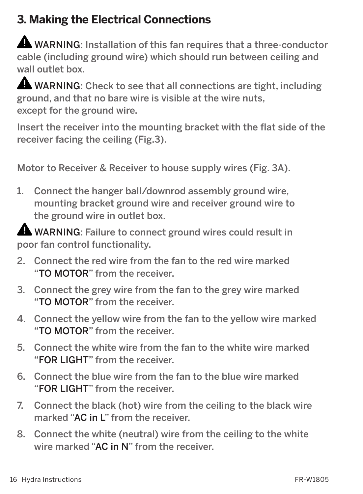## **3. Making the Electrical Connections**

**A** WARNING: Installation of this fan requires that a three-conductor cable (including ground wire) which should run between ceiling and wall outlet box.

WARNING: Check to see that all connections are tight, including ground, and that no bare wire is visible at the wire nuts, except for the ground wire.

Insert the receiver into the mounting bracket with the flat side of the receiver facing the ceiling (Fig.3).

Motor to Receiver & Receiver to house supply wires (Fig. 3A).

1. Connect the hanger ball/downrod assembly ground wire, mounting bracket ground wire and receiver ground wire to the ground wire in outlet box.

WARNING: Failure to connect ground wires could result in poor fan control functionality.

- 2. Connect the red wire from the fan to the red wire marked "TO MOTOR" from the receiver.
- 3. Connect the grey wire from the fan to the grey wire marked "TO MOTOR" from the receiver.
- 4. Connect the yellow wire from the fan to the yellow wire marked "TO MOTOR" from the receiver.
- 5. Connect the white wire from the fan to the white wire marked "FOR LIGHT" from the receiver.
- 6. Connect the blue wire from the fan to the blue wire marked "FOR LIGHT" from the receiver.
- 7. Connect the black (hot) wire from the ceiling to the black wire marked "AC in L" from the receiver.
- 8. Connect the white (neutral) wire from the ceiling to the white wire marked "AC in N" from the receiver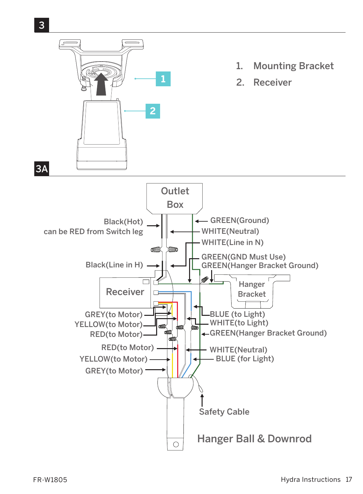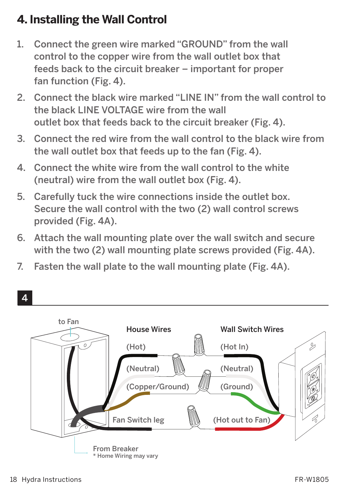## **4. Installing the Wall Control**

- 1. Connect the green wire marked "GROUND" from the wall control to the copper wire from the wall outlet box that feeds back to the circuit breaker – important for proper fan function (Fig. 4).
- 2. Connect the black wire marked "LINE IN" from the wall control to the black LINE VOLTAGE wire from the wall outlet box that feeds back to the circuit breaker (Fig. 4).
- 3. Connect the red wire from the wall control to the black wire from the wall outlet box that feeds up to the fan (Fig. 4).
- 4. Connect the white wire from the wall control to the white (neutral) wire from the wall outlet box (Fig. 4).
- 5. Carefully tuck the wire connections inside the outlet box. Secure the wall control with the two (2) wall control screws provided (Fig. 4A).
- 6. Attach the wall mounting plate over the wall switch and secure with the two (2) wall mounting plate screws provided (Fig. 4A).
- 7. Fasten the wall plate to the wall mounting plate (Fig. 4A).

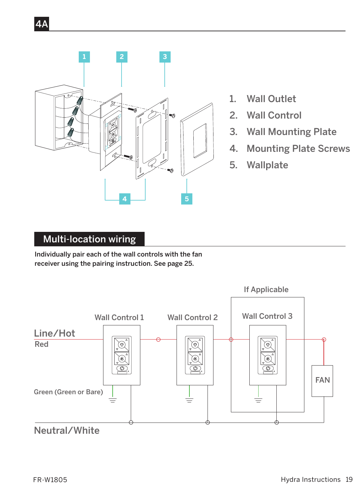

- 1. Wall Outlet
- 2. Wall Control
- 3. Wall Mounting Plate
- 4. Mounting Plate Screws
- 5. Wallplate

#### Multi-location wiring

4A

Individually pair each of the wall controls with the fan receiver using the pairing instruction. See page 25.

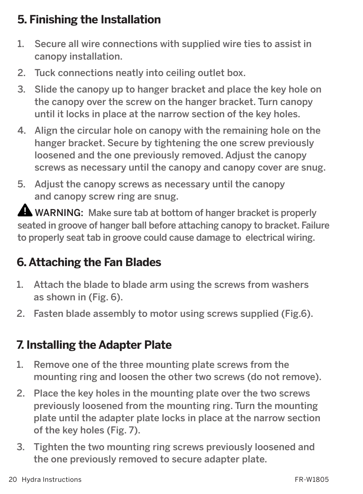## **5. Finishing the Installation**

- 1. Secure all wire connections with supplied wire ties to assist in canopy installation.
- 2. Tuck connections neatly into ceiling outlet box.
- 3. Slide the canopy up to hanger bracket and place the key hole on the canopy over the screw on the hanger bracket. Turn canopy until it locks in place at the narrow section of the key holes.
- 4. Align the circular hole on canopy with the remaining hole on the hanger bracket. Secure by tightening the one screw previously loosened and the one previously removed. Adjust the canopy screws as necessary until the canopy and canopy cover are snug.
- 5. Adjust the canopy screws as necessary until the canopy and canopy screw ring are snug.

 $\triangle$  WARNING: Make sure tab at bottom of hanger bracket is properly seated in groove of hanger ball before attaching canopy to bracket. Failure to properly seat tab in groove could cause damage to electrical wiring.

## **6. Attaching the Fan Blades**

- 1. Attach the blade to blade arm using the screws from washers as shown in (Fig. 6).
- 2. Fasten blade assembly to motor using screws supplied (Fig.6).

## **7. Installing the Adapter Plate**

- 1. Remove one of the three mounting plate screws from the mounting ring and loosen the other two screws (do not remove).
- 2. Place the key holes in the mounting plate over the two screws previously loosened from the mounting ring. Turn the mounting plate until the adapter plate locks in place at the narrow section of the key holes (Fig. 7).
- 3. Tighten the two mounting ring screws previously loosened and the one previously removed to secure adapter plate.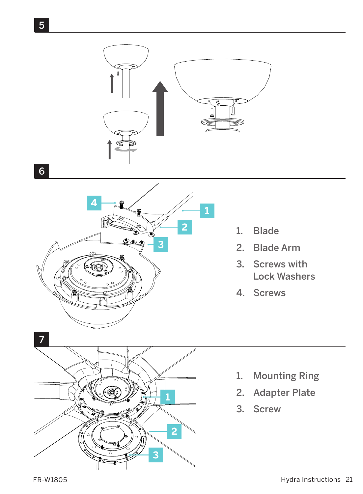

5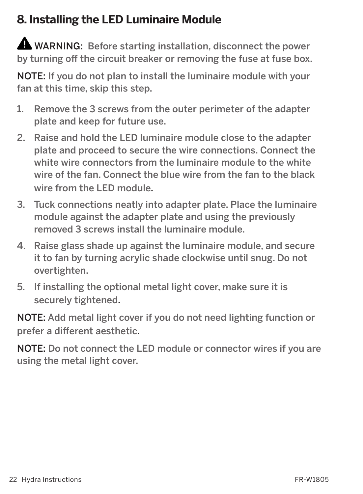## **8. Installing the LED Luminaire Module**

 WARNING: Before starting installation, disconnect the power by turning off the circuit breaker or removing the fuse at fuse box.

NOTE: If you do not plan to install the luminaire module with your fan at this time, skip this step.

- 1. Remove the 3 screws from the outer perimeter of the adapter plate and keep for future use.
- 2. Raise and hold the LED luminaire module close to the adapter plate and proceed to secure the wire connections. Connect the white wire connectors from the luminaire module to the white wire of the fan. Connect the blue wire from the fan to the black wire from the LED module.
- 3. Tuck connections neatly into adapter plate. Place the luminaire module against the adapter plate and using the previously removed 3 screws install the luminaire module.
- 4. Raise glass shade up against the luminaire module, and secure it to fan by turning acrylic shade clockwise until snug. Do not overtighten.
- 5. If installing the optional metal light cover, make sure it is securely tightened.

NOTE: Add metal light cover if you do not need lighting function or prefer a different aesthetic.

NOTE: Do not connect the LED module or connector wires if you are using the metal light cover.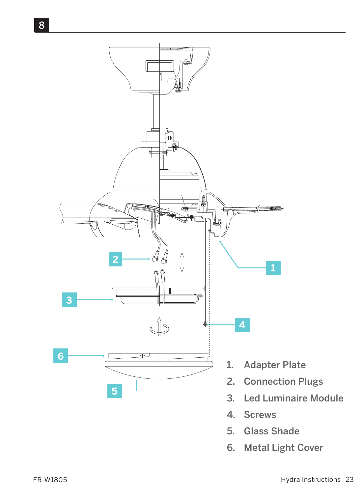

- 4. Screws
- 5. Glass Shade
- 6. Metal Light Cover

8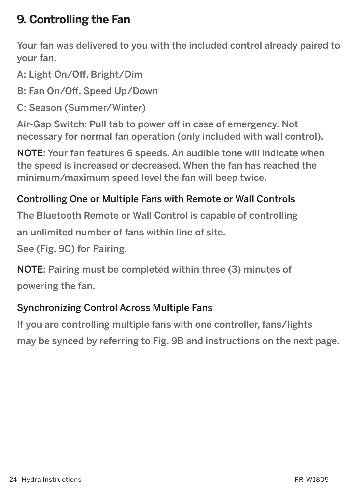## **9. Controlling the Fan**

Your fan was delivered to you with the included control already paired to your fan.

A: Light On/Off, Bright/Dim

B: Fan On/Off, Speed Up/Down

C: Season (Summer/Winter)

Air-Gap Switch: Pull tab to power off in case of emergency. Not necessary for normal fan operation (only included with wall control).

NOTE: Your fan features 6 speeds. An audible tone will indicate when the speed is increased or decreased. When the fan has reached the minimum/maximum speed level the fan will beep twice.

#### Controlling One or Multiple Fans with Remote or Wall Controls

The Bluetooth Remote or Wall Control is capable of controlling

an unlimited number of fans within line of site.

See (Fig. 9C) for Pairing.

NOTE: Pairing must be completed within three (3) minutes of powering the fan.

#### Synchronizing Control Across Multiple Fans

If you are controlling multiple fans with one controller, fans/lights may be synced by referring to Fig. 9B and instructions on the next page.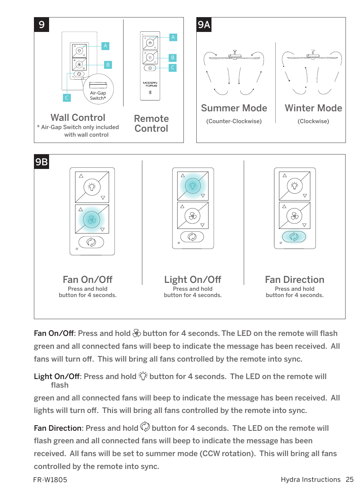

Fan On/Off: Press and hold  $\circledast$  button for 4 seconds. The LED on the remote will flash green and all connected fans will beep to indicate the message has been received. All fans will turn off. This will bring all fans controlled by the remote into sync.

#### Light On/Off: Press and hold  $\ddot{\diamond}$  button for 4 seconds. The LED on the remote will flash

green and all connected fans will beep to indicate the message has been received. All lights will turn off. This will bring all fans controlled by the remote into sync.

Fan Direction: Press and hold  $\mathbb Q$  button for 4 seconds. The LED on the remote will flash green and all connected fans will beep to indicate the message has been received. All fans will be set to summer mode (CCW rotation). This will bring all fans controlled by the remote into sync.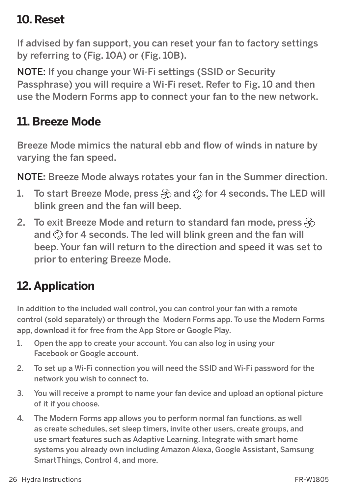### **10. Reset**

If advised by fan support, you can reset your fan to factory settings by referring to (Fig. 10A) or (Fig. 10B).

NOTE: If you change your Wi-Fi settings (SSID or Security Passphrase) you will require a Wi-Fi reset. Refer to Fig. 10 and then use the Modern Forms app to connect your fan to the new network.

### **11. Breeze Mode**

Breeze Mode mimics the natural ebb and flow of winds in nature by varying the fan speed.

NOTE**:** Breeze Mode always rotates your fan in the Summer direction.

- 1. To start Breeze Mode, press  $\circledast$  and  $\circledcirc$  for 4 seconds. The LED will blink green and the fan will beep.
- 2. To exit Breeze Mode and return to standard fan mode, press  $\mathcal{S}_0$ and  $\oslash$  for 4 seconds. The led will blink green and the fan will beep. Your fan will return to the direction and speed it was set to prior to entering Breeze Mode.

## **12. Application**

In addition to the included wall control, you can control your fan with a remote control (sold separately) or through the Modern Forms app. To use the Modern Forms app, download it for free from the App Store or Google Play.

- 1. Open the app to create your account. You can also log in using your Facebook or Google account.
- 2. To set up a Wi-Fi connection you will need the SSID and Wi-Fi password for the network you wish to connect to.
- 3. You will receive a prompt to name your fan device and upload an optional picture of it if you choose.
- 4. The Modern Forms app allows you to perform normal fan functions, as well as create schedules, set sleep timers, invite other users, create groups, and use smart features such as Adaptive Learning. Integrate with smart home systems you already own including Amazon Alexa, Google Assistant, Samsung SmartThings, Control 4, and more.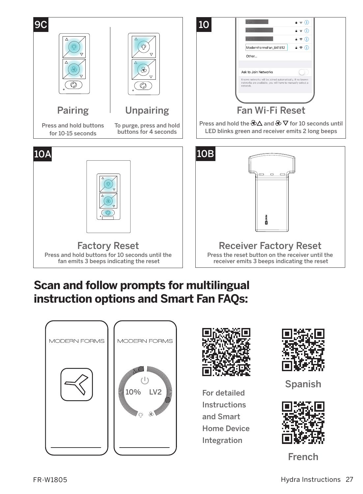

### **Scan and follow prompts for multilingual instruction options and Smart Fan FAQs:**





For detailed Instructions and Smart Home Device Integration



Spanish



French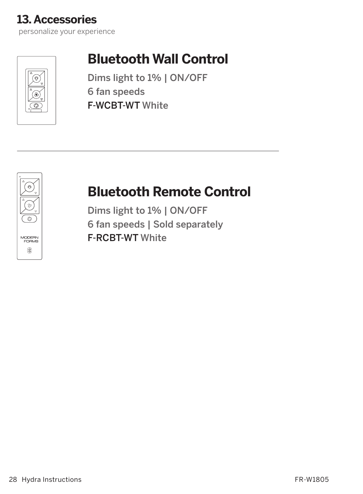

## **Bluetooth Wall Control**

Dims light to 1% | ON/OFF 6 fan speeds F-WCBT-WT White



## **Bluetooth Remote Control**

Dims light to 1% | ON/OFF 6 fan speeds | Sold separately F-RCBT-WT White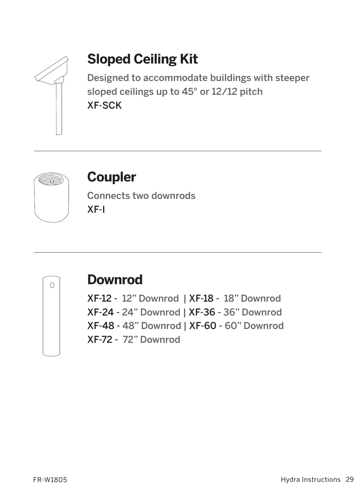

## **Sloped Ceiling Kit**

Designed to accommodate buildings with steeper sloped ceilings up to 45° or 12/12 pitch XF-SCK



## **Coupler**

Connects two downrods XF-I



## **Downrod**

XF-12 - 12" Downrod | XF-18 - 18" Downrod XF-24 - 24" Downrod | XF-36 - 36" Downrod XF-48 - 48" Downrod | XF-60 - 60" Downrod XF-72 - 72" Downrod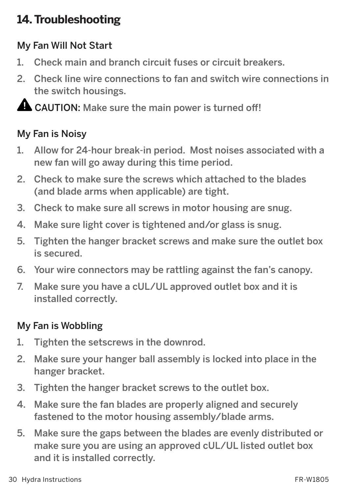## **14. Troubleshooting**

#### My Fan Will Not Start

- 1. Check main and branch circuit fuses or circuit breakers.
- 2. Check line wire connections to fan and switch wire connections in the switch housings.

**A CAUTION:** Make sure the main power is turned off!

#### My Fan is Noisy

- 1. Allow for 24-hour break-in period. Most noises associated with a new fan will go away during this time period.
- 2. Check to make sure the screws which attached to the blades (and blade arms when applicable) are tight.
- 3. Check to make sure all screws in motor housing are snug.
- 4. Make sure light cover is tightened and/or glass is snug.
- 5. Tighten the hanger bracket screws and make sure the outlet box is secured.
- 6. Your wire connectors may be rattling against the fan's canopy.
- 7. Make sure you have a cUL/UL approved outlet box and it is installed correctly.

#### My Fan is Wobbling

- 1. Tighten the setscrews in the downrod.
- 2. Make sure your hanger ball assembly is locked into place in the hanger bracket.
- 3. Tighten the hanger bracket screws to the outlet box.
- 4. Make sure the fan blades are properly aligned and securely fastened to the motor housing assembly/blade arms.
- 5. Make sure the gaps between the blades are evenly distributed or make sure you are using an approved cUL/UL listed outlet box and it is installed correctly.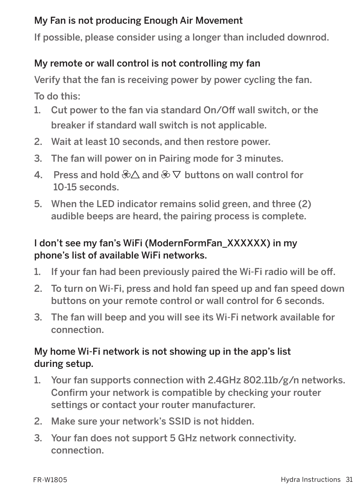#### My Fan is not producing Enough Air Movement

If possible, please consider using a longer than included downrod.

#### My remote or wall control is not controlling my fan

Verify that the fan is receiving power by power cycling the fan.

To do this:

- 1. Cut power to the fan via standard On/Off wall switch, or the breaker if standard wall switch is not applicable.
- 2. Wait at least 10 seconds, and then restore power.
- 3. The fan will power on in Pairing mode for 3 minutes.
- 4. Press and hold  $\& \wedge$  and  $\& \nabla$  buttons on wall control for 10-15 seconds.
- 5. When the LED indicator remains solid green, and three (2) audible beeps are heard, the pairing process is complete.

#### I don't see my fan's WiFi (ModernFormFan\_XXXXXX) in my phone's list of available WiFi networks.

- 1. If your fan had been previously paired the Wi-Fi radio will be off.
- 2. To turn on Wi-Fi, press and hold fan speed up and fan speed down buttons on your remote control or wall control for 6 seconds.
- 3. The fan will beep and you will see its Wi-Fi network available for connection.

#### My home Wi-Fi network is not showing up in the app's list during setup.

- 1. Your fan supports connection with 2.4GHz 802.11b/g/n networks. Confirm your network is compatible by checking your router settings or contact your router manufacturer.
- 2. Make sure your network's SSID is not hidden.
- 3. Your fan does not support 5 GHz network connectivity. connection.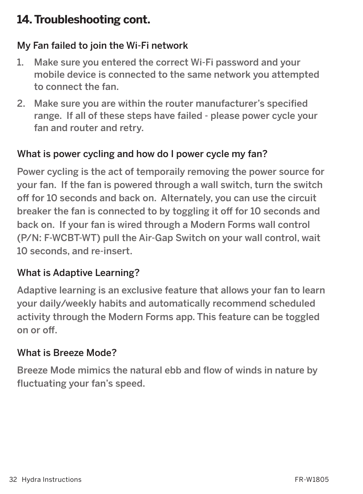### **14. Troubleshooting cont.**

### My Fan failed to join the Wi-Fi network

- 1. Make sure you entered the correct Wi-Fi password and your mobile device is connected to the same network you attempted to connect the fan.
- 2. Make sure you are within the router manufacturer's specified range. If all of these steps have failed - please power cycle your fan and router and retry.

### What is power cycling and how do I power cycle my fan?

Power cycling is the act of temporaily removing the power source for your fan. If the fan is powered through a wall switch, turn the switch off for 10 seconds and back on. Alternately, you can use the circuit breaker the fan is connected to by toggling it off for 10 seconds and back on. If your fan is wired through a Modern Forms wall control (P/N: F-WCBT-WT) pull the Air-Gap Switch on your wall control, wait 10 seconds, and re-insert.

#### What is Adaptive Learning?

Adaptive learning is an exclusive feature that allows your fan to learn your daily/weekly habits and automatically recommend scheduled activity through the Modern Forms app. This feature can be toggled on or off.

#### What is Breeze Mode?

Breeze Mode mimics the natural ebb and flow of winds in nature by fluctuating your fan's speed.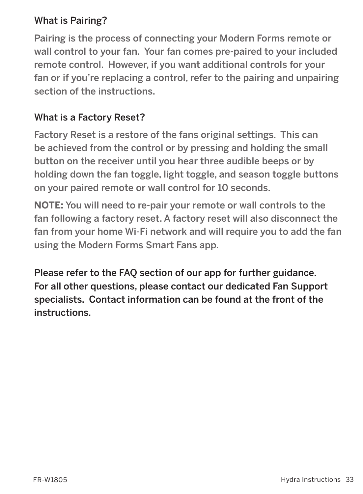#### What is Pairing?

Pairing is the process of connecting your Modern Forms remote or wall control to your fan. Your fan comes pre-paired to your included remote control. However, if you want additional controls for your fan or if you're replacing a control, refer to the pairing and unpairing section of the instructions.

#### What is a Factory Reset?

Factory Reset is a restore of the fans original settings. This can be achieved from the control or by pressing and holding the small button on the receiver until you hear three audible beeps or by holding down the fan toggle, light toggle, and season toggle buttons on your paired remote or wall control for 10 seconds.

**NOTE:** You will need to re-pair your remote or wall controls to the fan following a factory reset. A factory reset will also disconnect the fan from your home Wi-Fi network and will require you to add the fan using the Modern Forms Smart Fans app.

Please refer to the FAQ section of our app for further guidance. For all other questions, please contact our dedicated Fan Support specialists. Contact information can be found at the front of the instructions.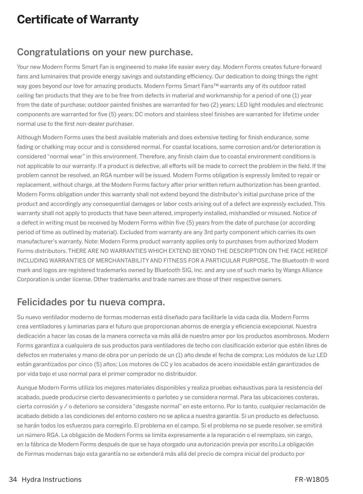## **Certificate of Warranty**

#### Congratulations on your new purchase.

Your new Modern Forms Smart Fan is engineered to make life easier every day. Modern Forms creates future-forward fans and luminaires that provide energy savings and outstanding efficiency. Our dedication to doing things the right way goes beyond our love for amazing products. Modern Forms Smart Fans™ warrants any of its outdoor rated ceiling fan products that they are to be free from defects in material and workmanship for a period of one (1) year from the date of purchase; outdoor painted finishes are warranted for two (2) years; LED light modules and electronic components are warranted for five (5) years; DC motors and stainless steel finishes are warranted for lifetime under normal use to the first non-dealer purchaser.

Although Modern Forms uses the best available materials and does extensive testing for finish endurance, some fading or chalking may occur and is considered normal. For coastal locations, some corrosion and/or deterioration is considered "normal wear" in this environment. Therefore, any finish claim due to coastal environment conditions is not applicable to our warranty. If a product is defective, all efforts will be made to correct the problem in the field. If the problem cannot be resolved, an RGA number will be issued. Modern Forms obligation is expressly limited to repair or replacement, without charge, at the Modern Forms factory after prior written return authorization has been granted. Modern Forms obligation under this warranty shall not extend beyond the distributor's initial purchase price of the product and accordingly any consequential damages or labor costs arising out of a defect are expressly excluded. This warranty shall not apply to products that have been altered, improperly installed, mishandled or misused. Notice of a defect in writing must be received by Modern Forms within five (5) years from the date of purchase (or according period of time as outlined by material). Excluded from warranty are any 3rd party component which carries its own manufacturer's warranty. Note: Modern Forms product warranty applies only to purchases from authorized Modern Forms distributors. THERE ARE NO WARRANTIES WHICH EXTEND BEYOND THE DESCRIPTION ON THE FACE HEREOF INCLUDING WARRANTIES OF MERCHANTABILITY AND FITNESS FOR A PARTICULAR PURPOSE. The Bluetooth ® word mark and logos are registered trademarks owned by Bluetooth SIG, Inc. and any use of such marks by Wangs Alliance Corporation is under license. Other trademarks and trade names are those of their respective owners.

#### Felicidades por tu nueva compra.

Su nuevo ventilador moderno de formas modernas está diseñado para facilitarle la vida cada día. Modern Forms crea ventiladores y luminarias para el futuro que proporcionan ahorros de energía y eficiencia excepcional. Nuestra dedicación a hacer las cosas de la manera correcta va más allá de nuestro amor por los productos asombrosos. Modern Forms garantiza a cualquiera de sus productos para ventiladores de techo con clasificación exterior que estén libres de defectos en materiales y mano de obra por un período de un (1) año desde el fecha de compra; Los módulos de luz LED están garantizados por cinco (5) años; Los motores de CC y los acabados de acero inoxidable están garantizados de por vida bajo el uso normal para el primer comprador no distribuidor.

Aunque Modern Forms utiliza los mejores materiales disponibles y realiza pruebas exhaustivas para la resistencia del acabado, puede producirse cierto desvanecimiento o parloteo y se considera normal. Para las ubicaciones costeras, cierta corrosión y / o deterioro se considera "desgaste normal" en este entorno. Por lo tanto, cualquier reclamación de acabado debido a las condiciones del entorno costero no se aplica a nuestra garantía. Si un producto es defectuoso, se harán todos los esfuerzos para corregirlo. El problema en el campo. Si el problema no se puede resolver, se emitirá un número RGA. La obligación de Modern Forms se limita expresamente a la reparación o el reemplazo, sin cargo, en la fábrica de Modern Forms después de que se haya otorgado una autorización previa por escrito.La obligación de Formas modernas bajo esta garantía no se extenderá más allá del precio de compra inicial del producto por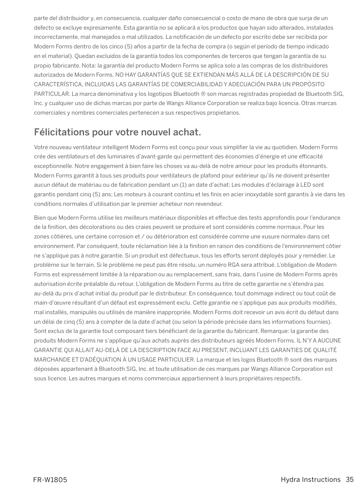parte del distribuidor y, en consecuencia, cualquier daño consecuencial o costo de mano de obra que surja de un defecto se excluye expresamente. Esta garantía no se aplicará a los productos que hayan sido alterados, instalados incorrectamente, mal manejados o mal utilizados. La notificación de un defecto por escrito debe ser recibida por Modern Forms dentro de los cinco (5) años a partir de la fecha de compra (o según el período de tiempo indicado en el material). Quedan excluidos de la garantía todos los componentes de terceros que tengan la garantía de su propio fabricante. Nota: la garantía del producto Modern Forms se aplica solo a las compras de los distribuidores autorizados de Modern Forms. NO HAY GARANTÍAS QUE SE EXTIENDAN MÁS ALLÁ DE LA DESCRIPCIÓN DE SU CARACTERÍSTICA, INCLUIDAS LAS GARANTÍAS DE COMERCIABILIDAD Y ADECUACIÓN PARA UN PROPÓSITO PARTICULAR. La marca denominativa y los logotipos Bluetooth ® son marcas registradas propiedad de Bluetooth SIG, Inc. y cualquier uso de dichas marcas por parte de Wangs Alliance Corporation se realiza bajo licencia. Otras marcas comerciales y nombres comerciales pertenecen a sus respectivos propietarios.

#### Félicitations pour votre nouvel achat.

Votre nouveau ventilateur intelligent Modern Forms est conçu pour vous simplifier la vie au quotidien. Modern Forms crée des ventilateurs et des luminaires d'avant-garde qui permettent des économies d'énergie et une efficacité exceptionnelle. Notre engagement à bien faire les choses va au-delà de notre amour pour les produits étonnants. Modern Forms garantit à tous ses produits pour ventilateurs de plafond pour extérieur qu'ils ne doivent présenter aucun défaut de matériau ou de fabrication pendant un (1) an date d'achat; Les modules d'éclairage à LED sont garantis pendant cinq (5) ans; Les moteurs à courant continu et les finis en acier inoxydable sont garantis à vie dans les conditions normales d'utilisation par le premier acheteur non revendeur.

Bien que Modern Forms utilise les meilleurs matériaux disponibles et effectue des tests approfondis pour l'endurance de la finition, des décolorations ou des craies peuvent se produire et sont considérés comme normaux. Pour les zones côtières, une certaine corrosion et / ou détérioration est considérée comme une «usure normale» dans cet environnement. Par conséquent, toute réclamation liée à la finition en raison des conditions de l'environnement côtier ne s'applique pas à notre garantie. Si un produit est défectueux, tous les efforts seront déployés pour y remédier. Le problème sur le terrain. Si le problème ne peut pas être résolu, un numéro RGA sera attribué. L'obligation de Modern Forms est expressément limitée à la réparation ou au remplacement, sans frais, dans l'usine de Modern Forms après autorisation écrite préalable du retour. L'obligation de Modern Forms au titre de cette garantie ne s'étendra pas au-delà du prix d'achat initial du produit par le distributeur. En conséquence, tout dommage indirect ou tout coût de main-d'œuvre résultant d'un défaut est expressément exclu. Cette garantie ne s'applique pas aux produits modifiés, mal installés, manipulés ou utilisés de manière inappropriée. Modern Forms doit recevoir un avis écrit du défaut dans un délai de cinq (5) ans à compter de la date d'achat (ou selon la période précisée dans les informations fournies). Sont exclus de la garantie tout composant tiers bénéficiant de la garantie du fabricant. Remarque: la garantie des produits Modern Forms ne s'applique qu'aux achats auprès des distributeurs agréés Modern Forms. IL N'Y A AUCUNE GARANTIE QUI ALLAIT AU-DELÀ DE LA DESCRIPTION FACE AU PRESENT, INCLUANT LES GARANTIES DE QUALITÉ MARCHANDE ET D'ADÉQUATION À UN USAGE PARTICULIER. La marque et les logos Bluetooth ® sont des marques déposées appartenant à Bluetooth SIG, Inc. et toute utilisation de ces marques par Wangs Alliance Corporation est sous licence. Les autres marques et noms commerciaux appartiennent à leurs propriétaires respectifs.